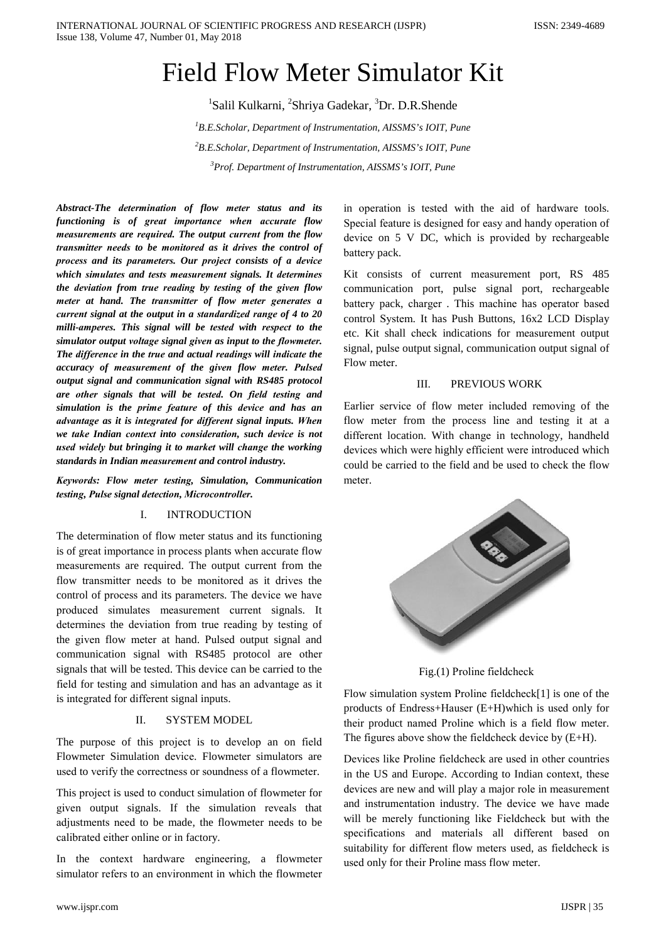# **Field Flow Meter Simulator Kit**

<sup>1</sup>Salil Kulkarni, <sup>2</sup>Shriya Gadekar, <sup>3</sup>Dr. D.R.Shende  ${}^{1}B.E.Scholar$ , Department of Instrumentation, AISSMS's IOIT, Pune  $3B.E.Scholar$ , Department of Instrumentation, AISSMS's IOIT, Pune <sup>3</sup>Prof. Department of Instrumentation, AISSMS's IOIT, Pune

Abstract-The determination of flow meter status and its functioning is of great importance when accurate flow measurements are required. The output current from the flow transmitter needs to be monitored as it drives the control of process and its parameters. Our project consists of a device which simulates and tests measurement signals. It determines the deviation from true reading by testing of the given flow meter at hand. The transmitter of flow meter generates a current signal at the output in a standardized range of 4 to 20 milli-amperes. This signal will be tested with respect to the simulator output voltage signal given as input to the flowmeter. The difference in the true and actual readings will indicate the accuracy of measurement of the given flow meter. Pulsed output signal and communication signal with RS485 protocol are other signals that will be tested. On field testing and simulation is the prime feature of this device and has an advantage as it is integrated for different signal inputs. When we take Indian context into consideration, such device is not used widely but bringing it to market will change the working standards in Indian measurement and control industry.

Keywords: Flow meter testing, Simulation, Communication testing, Pulse signal detection, Microcontroller.

## I. **INTRODUCTION**

The determination of flow meter status and its functioning is of great importance in process plants when accurate flow measurements are required. The output current from the flow transmitter needs to be monitored as it drives the control of process and its parameters. The device we have produced simulates measurement current signals. It determines the deviation from true reading by testing of the given flow meter at hand. Pulsed output signal and communication signal with RS485 protocol are other signals that will be tested. This device can be carried to the field for testing and simulation and has an advantage as it is integrated for different signal inputs.

### $\Pi$ **SYSTEM MODEL**

The purpose of this project is to develop an on field Flowmeter Simulation device. Flowmeter simulators are used to verify the correctness or soundness of a flowmeter.

This project is used to conduct simulation of flowmeter for given output signals. If the simulation reveals that adjustments need to be made, the flowmeter needs to be calibrated either online or in factory.

In the context hardware engineering, a flowmeter simulator refers to an environment in which the flowmeter

in operation is tested with the aid of hardware tools. Special feature is designed for easy and handy operation of device on 5 V DC, which is provided by rechargeable battery pack.

Kit consists of current measurement port, RS 485 communication port, pulse signal port, rechargeable battery pack, charger. This machine has operator based control System. It has Push Buttons, 16x2 LCD Display etc. Kit shall check indications for measurement output signal, pulse output signal, communication output signal of Flow meter.

### $III.$ PREVIOUS WORK

Earlier service of flow meter included removing of the flow meter from the process line and testing it at a different location. With change in technology, handheld devices which were highly efficient were introduced which could be carried to the field and be used to check the flow meter.



Fig.(1) Proline fieldcheck

Flow simulation system Proline fieldcheck[1] is one of the products of Endress+Hauser (E+H)which is used only for their product named Proline which is a field flow meter. The figures above show the field check device by  $(E+H)$ .

Devices like Proline fieldcheck are used in other countries in the US and Europe. According to Indian context, these devices are new and will play a major role in measurement and instrumentation industry. The device we have made will be merely functioning like Fieldcheck but with the specifications and materials all different based on suitability for different flow meters used, as fieldcheck is used only for their Proline mass flow meter.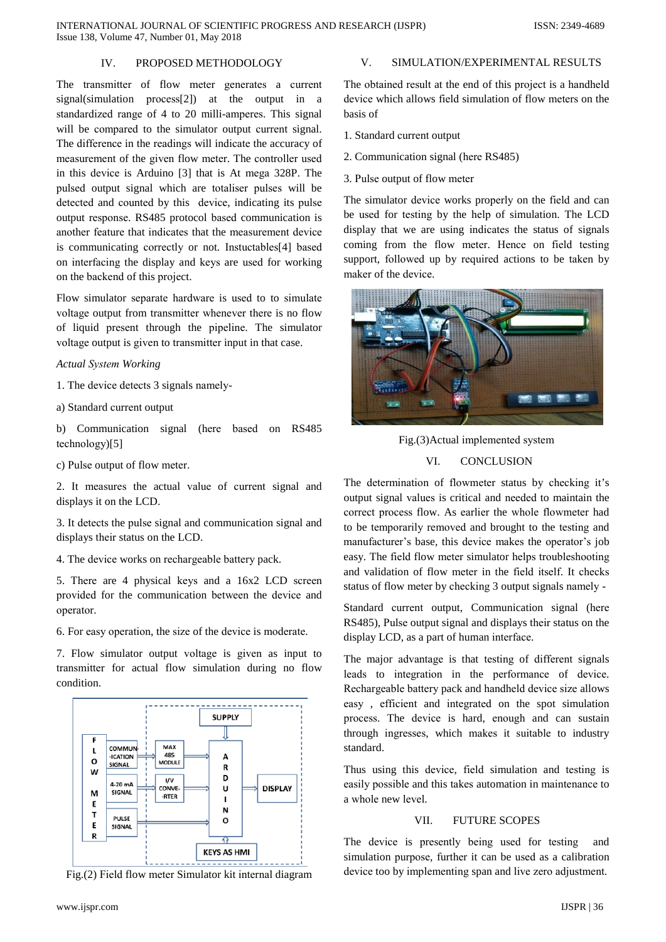# IV. PROPOSED METHODOLOGY

The transmitter of flow meter generates a current signal(simulation process[2]) at the output in a standardized range of 4 to 20 milli-amperes. This signal will be compared to the simulator output current signal. The difference in the readings will indicate the accuracy of measurement of the given flow meter. The controller used in this device is Arduino [3] that is At mega 328P. The pulsed output signal which are totaliser pulses will be detected and counted by this device, indicating its pulse output response. RS485 protocol based communication is another feature that indicates that the measurement device is communicating correctly or not. Instuctables[4] based on interfacing the display and keys are used for working on the backend of this project.

Flow simulator separate hardware is used to to simulate voltage output from transmitter whenever there is no flow of liquid present through the pipeline. The simulator voltage output is given to transmitter input in that case.

# **Actual System Working**

1. The device detects 3 signals namely-

a) Standard current output

b) Communication signal (here based on RS485  $technology)[5]$ 

c) Pulse output of flow meter.

2. It measures the actual value of current signal and displays it on the LCD.

3. It detects the pulse signal and communication signal and displays their status on the LCD.

4. The device works on rechargeable battery pack.

5. There are 4 physical keys and a 16x2 LCD screen provided for the communication between the device and operator.

6. For easy operation, the size of the device is moderate.

7. Flow simulator output voltage is given as input to transmitter for actual flow simulation during no flow condition



Fig.(2) Field flow meter Simulator kit internal diagram

# $V_{\cdot}$ SIMULATION/EXPERIMENTAL RESULTS

The obtained result at the end of this project is a handheld device which allows field simulation of flow meters on the basis of

- 1. Standard current output
- 2. Communication signal (here RS485)
- 3. Pulse output of flow meter

The simulator device works properly on the field and can be used for testing by the help of simulation. The LCD display that we are using indicates the status of signals coming from the flow meter. Hence on field testing support, followed up by required actions to be taken by maker of the device.



Fig.(3)Actual implemented system

# VI. **CONCLUSION**

The determination of flowmeter status by checking it's output signal values is critical and needed to maintain the correct process flow. As earlier the whole flowmeter had to be temporarily removed and brought to the testing and manufacturer's base, this device makes the operator's job easy. The field flow meter simulator helps troubleshooting and validation of flow meter in the field itself. It checks status of flow meter by checking 3 output signals namely -

Standard current output, Communication signal (here RS485), Pulse output signal and displays their status on the display LCD, as a part of human interface.

The major advantage is that testing of different signals leads to integration in the performance of device. Rechargeable battery pack and handheld device size allows easy, efficient and integrated on the spot simulation process. The device is hard, enough and can sustain through ingresses, which makes it suitable to industry standard.

Thus using this device, field simulation and testing is easily possible and this takes automation in maintenance to a whole new level.

# FUTURE SCOPES VII.

The device is presently being used for testing and simulation purpose, further it can be used as a calibration device too by implementing span and live zero adjustment.